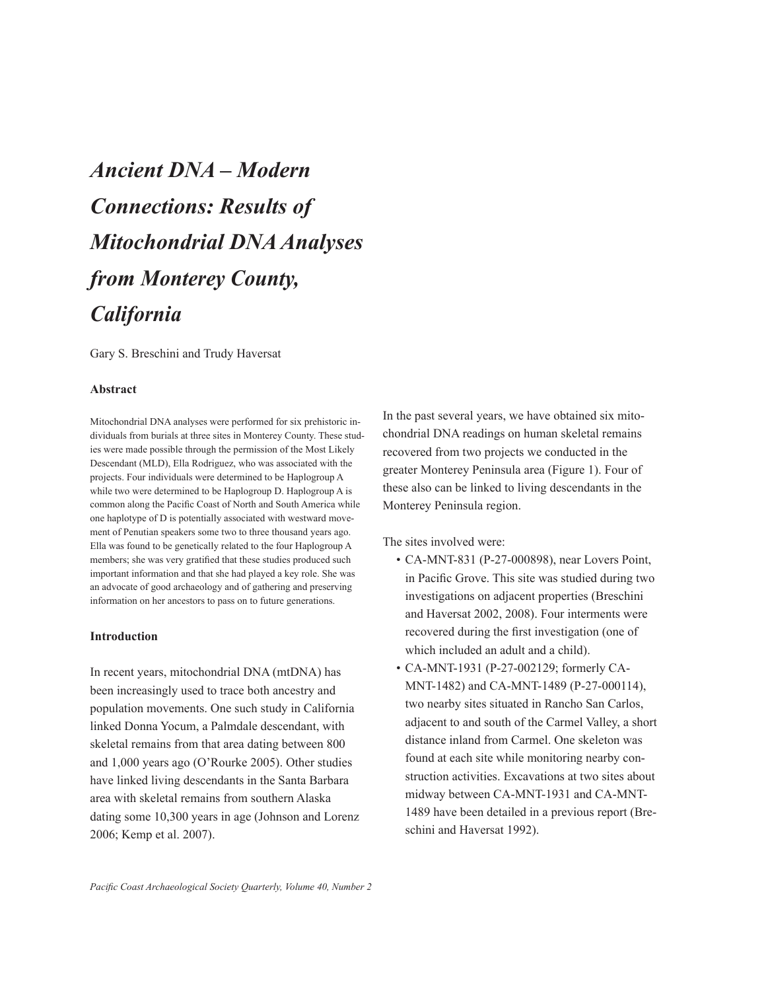# *Ancient DNA – Modern Connections: Results of Mitochondrial DNA Analyses from Monterey County, California*

Gary S. Breschini and Trudy Haversat

#### **Abstract**

Mitochondrial DNA analyses were performed for six prehistoric individuals from burials at three sites in Monterey County. These studies were made possible through the permission of the Most Likely Descendant (MLD), Ella Rodriguez, who was associated with the projects. Four individuals were determined to be Haplogroup A while two were determined to be Haplogroup D. Haplogroup A is common along the Pacific Coast of North and South America while one haplotype of D is potentially associated with westward movement of Penutian speakers some two to three thousand years ago. Ella was found to be genetically related to the four Haplogroup A members; she was very gratified that these studies produced such important information and that she had played a key role. She was an advocate of good archaeology and of gathering and preserving information on her ancestors to pass on to future generations.

## **Introduction**

In recent years, mitochondrial DNA (mtDNA) has been increasingly used to trace both ancestry and population movements. One such study in California linked Donna Yocum, a Palmdale descendant, with skeletal remains from that area dating between 800 and 1,000 years ago (O'Rourke 2005). Other studies have linked living descendants in the Santa Barbara area with skeletal remains from southern Alaska dating some 10,300 years in age (Johnson and Lorenz 2006; Kemp et al. 2007).

In the past several years, we have obtained six mitochondrial DNA readings on human skeletal remains recovered from two projects we conducted in the greater Monterey Peninsula area (Figure 1). Four of these also can be linked to living descendants in the Monterey Peninsula region.

The sites involved were:

- CA-MNT-831 (P-27-000898), near Lovers Point, in Pacific Grove. This site was studied during two investigations on adjacent properties (Breschini and Haversat 2002, 2008). Four interments were recovered during the first investigation (one of which included an adult and a child).
- CA-MNT-1931 (P-27-002129; formerly CA-MNT-1482) and CA-MNT-1489 (P-27-000114), two nearby sites situated in Rancho San Carlos, adjacent to and south of the Carmel Valley, a short distance inland from Carmel. One skeleton was found at each site while monitoring nearby construction activities. Excavations at two sites about midway between CA-MNT-1931 and CA-MNT-1489 have been detailed in a previous report (Breschini and Haversat 1992).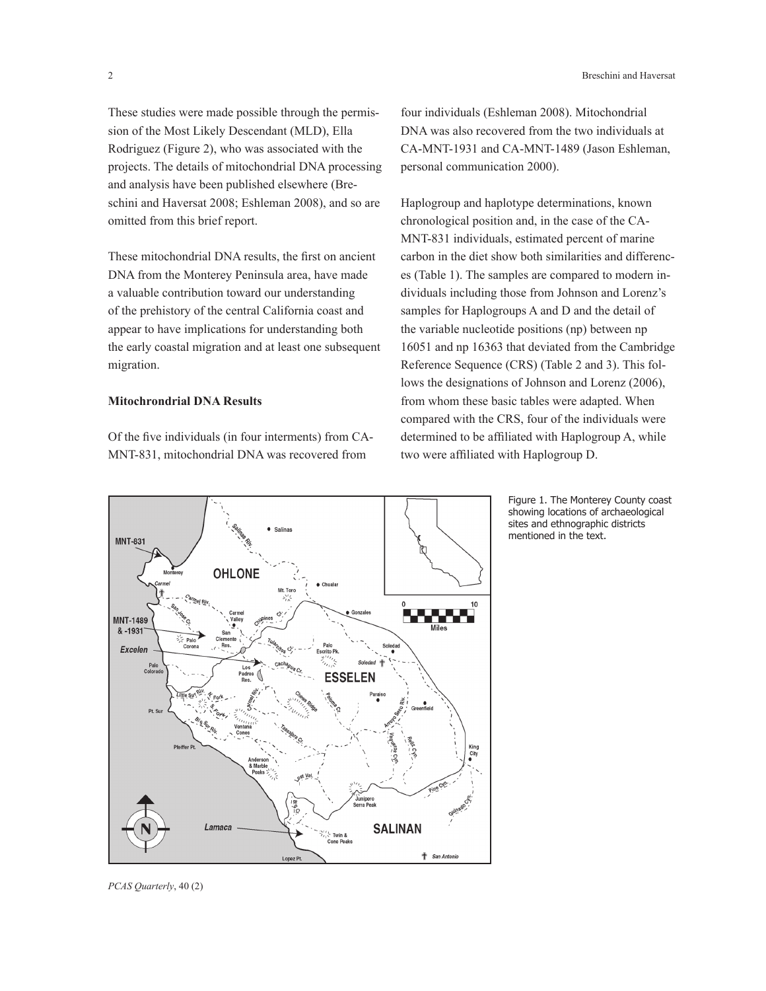These studies were made possible through the permission of the Most Likely Descendant (MLD), Ella Rodriguez (Figure 2), who was associated with the projects. The details of mitochondrial DNA processing and analysis have been published elsewhere (Breschini and Haversat 2008; Eshleman 2008), and so are omitted from this brief report.

These mitochondrial DNA results, the first on ancient DNA from the Monterey Peninsula area, have made a valuable contribution toward our understanding of the prehistory of the central California coast and appear to have implications for understanding both the early coastal migration and at least one subsequent migration.

## **Mitochrondrial DNA Results**

Of the five individuals (in four interments) from CA-MNT-831, mitochondrial DNA was recovered from

four individuals (Eshleman 2008). Mitochondrial DNA was also recovered from the two individuals at CA-MNT-1931 and CA-MNT-1489 (Jason Eshleman, personal communication 2000).

Haplogroup and haplotype determinations, known chronological position and, in the case of the CA-MNT-831 individuals, estimated percent of marine carbon in the diet show both similarities and differences (Table 1). The samples are compared to modern individuals including those from Johnson and Lorenz's samples for Haplogroups A and D and the detail of the variable nucleotide positions (np) between np 16051 and np 16363 that deviated from the Cambridge Reference Sequence (CRS) (Table 2 and 3). This follows the designations of Johnson and Lorenz (2006), from whom these basic tables were adapted. When compared with the CRS, four of the individuals were determined to be affiliated with Haplogroup A, while two were affiliated with Haplogroup D.

> Figure 1. The Monterey County coast showing locations of archaeological sites and ethnographic districts mentioned in the text.

*PCAS Quarterly*, 40 (2)

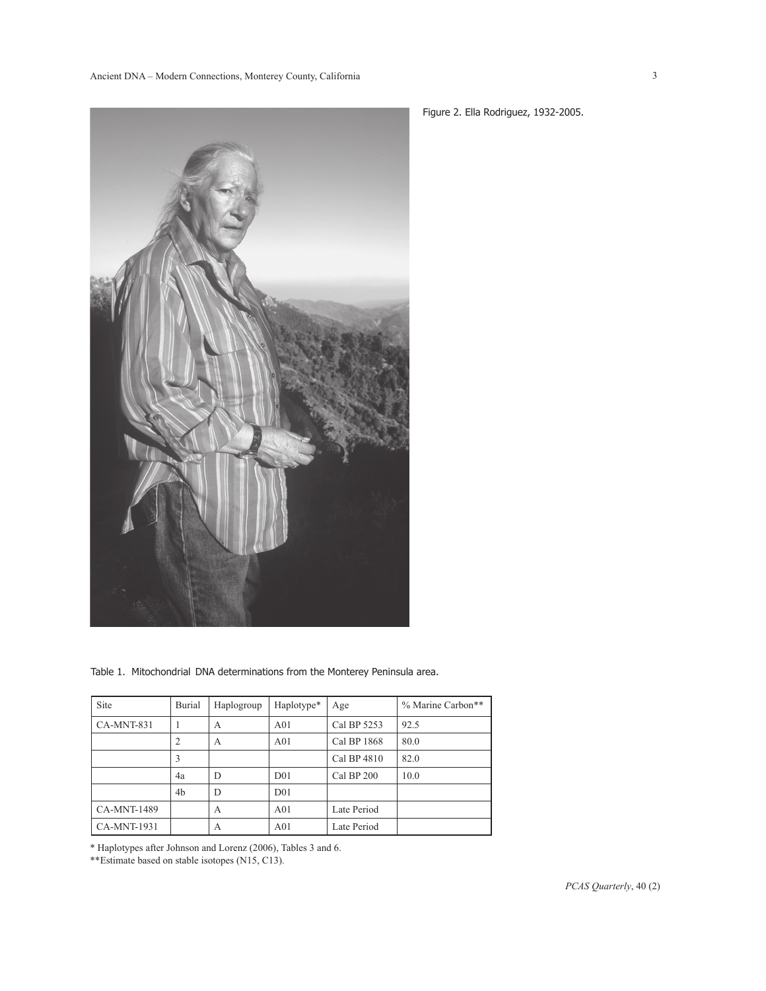

Table 1. Mitochondrial DNA determinations from the Monterey Peninsula area.

| <b>Site</b>        | Burial | Haplogroup | Haplotype*      | Age         | % Marine Carbon** |
|--------------------|--------|------------|-----------------|-------------|-------------------|
| CA-MNT-831         |        | А          | A <sub>01</sub> | Cal BP 5253 | 92.5              |
|                    | 2      | А          | A <sub>01</sub> | Cal BP 1868 | 80.0              |
|                    | 3      |            |                 | Cal BP 4810 | 82.0              |
|                    | 4a     | D          | D <sub>01</sub> | Cal BP 200  | 10.0              |
|                    | 4b     | D          | D <sub>01</sub> |             |                   |
| <b>CA-MNT-1489</b> |        | А          | A <sub>01</sub> | Late Period |                   |
| <b>CA-MNT-1931</b> |        | А          | A <sub>01</sub> | Late Period |                   |

\* Haplotypes after Johnson and Lorenz (2006), Tables 3 and 6.

\*\*Estimate based on stable isotopes (N15, C13).

Figure 2. Ella Rodriguez, 1932-2005.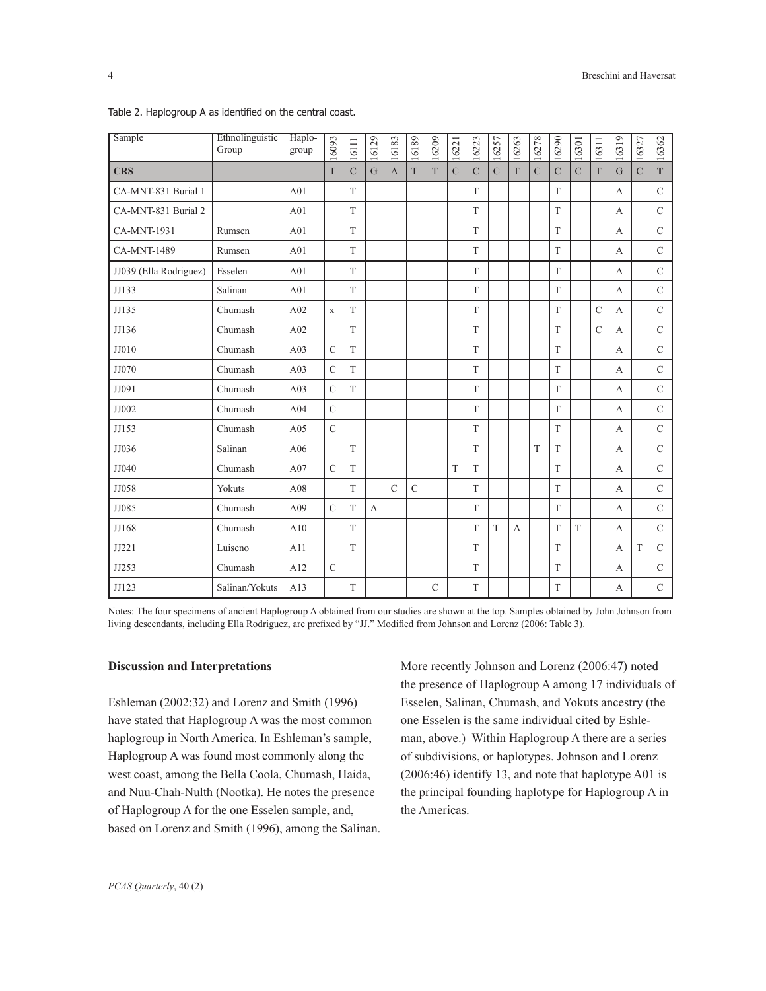| Sample                 | Ethnolinguistic<br>Group | Haplo-<br>group | 16093         | 16111          | 16129 | 16183          | 16189         | 16209          | 16221          | 16223          | 16257          | 16263 | 16278         | 16290          | 16301          | 16311          | 16319            | 16327          | 16362         |
|------------------------|--------------------------|-----------------|---------------|----------------|-------|----------------|---------------|----------------|----------------|----------------|----------------|-------|---------------|----------------|----------------|----------------|------------------|----------------|---------------|
| <b>CRS</b>             |                          |                 | T             | $\overline{C}$ | G     | $\overline{A}$ | T             | T              | $\overline{C}$ | $\overline{C}$ | $\overline{C}$ | T     | $\mathcal{C}$ | $\overline{C}$ | $\overline{C}$ | T              | G                | $\overline{C}$ | T             |
| CA-MNT-831 Burial 1    |                          | A01             |               | T              |       |                |               |                |                | T              |                |       |               | T              |                |                | $\mathbf{A}$     |                | $\mathcal{C}$ |
| CA-MNT-831 Burial 2    |                          | A01             |               | T              |       |                |               |                |                | T              |                |       |               | T              |                |                | $\mathbf{A}$     |                | $\mathcal{C}$ |
| <b>CA-MNT-1931</b>     | Rumsen                   | A01             |               | T              |       |                |               |                |                | T              |                |       |               | T              |                |                | $\mathbf{A}$     |                | $\mathcal{C}$ |
| <b>CA-MNT-1489</b>     | Rumsen                   | A01             |               | T              |       |                |               |                |                | T              |                |       |               | T              |                |                | $\mathbf{A}$     |                | $\mathcal{C}$ |
| JJ039 (Ella Rodriguez) | Esselen                  | A01             |               | T              |       |                |               |                |                | T              |                |       |               | T              |                |                | A                |                | $\mathbf C$   |
| JJ133                  | Salinan                  | A01             |               | T              |       |                |               |                |                | T              |                |       |               | T              |                |                | $\overline{A}$   |                | $\mathcal{C}$ |
| JJ135                  | Chumash                  | A02             | X             | T              |       |                |               |                |                | T              |                |       |               | T              |                | $\mathcal{C}$  | A                |                | $\mathcal{C}$ |
| JJ136                  | Chumash                  | A02             |               | T              |       |                |               |                |                | T              |                |       |               | T              |                | $\overline{C}$ | A                |                | $\mathbf C$   |
| JJ010                  | Chumash                  | A <sub>03</sub> | $\mathcal{C}$ | T              |       |                |               |                |                | T              |                |       |               | T              |                |                | $\overline{A}$   |                | $\mathcal{C}$ |
| JJ070                  | Chumash                  | A <sub>03</sub> | $\mathcal{C}$ | T              |       |                |               |                |                | T              |                |       |               | T              |                |                | $\mathbf{A}$     |                | $\mathcal{C}$ |
| JJ091                  | Chumash                  | A <sub>03</sub> | $\mathcal{C}$ | T              |       |                |               |                |                | T              |                |       |               | T              |                |                | $\mathbf{A}$     |                | $\mathcal{C}$ |
| JJ002                  | Chumash                  | A04             | $\mathcal{C}$ |                |       |                |               |                |                | T              |                |       |               | T              |                |                | $\mathbf{A}$     |                | $\mathcal{C}$ |
| JJ153                  | Chumash                  | A05             | $\mathbf C$   |                |       |                |               |                |                | T              |                |       |               | T              |                |                | $\boldsymbol{A}$ |                | $\mathbf C$   |
| JJ036                  | Salinan                  | A06             |               | T              |       |                |               |                |                | T              |                |       | T             | T              |                |                | $\mathbf{A}$     |                | $\mathcal{C}$ |
| JJ040                  | Chumash                  | A07             | $\mathbf C$   | T              |       |                |               |                | T              | T              |                |       |               | T              |                |                | $\mathbf{A}$     |                | $\mathcal{C}$ |
| JJ058                  | Yokuts                   | A08             |               | T              |       | $\mathcal{C}$  | $\mathcal{C}$ |                |                | T              |                |       |               | T              |                |                | $\mathbf{A}$     |                | $\mathbf C$   |
| JJ085                  | Chumash                  | A09             | $\mathcal{C}$ | T              | A     |                |               |                |                | T              |                |       |               | T              |                |                | A                |                | $\mathcal{C}$ |
| JJ168                  | Chumash                  | A10             |               | T              |       |                |               |                |                | T              | T              | A     |               | T              | T              |                | $\mathbf{A}$     |                | $\mathcal{C}$ |
| JJ221                  | Luiseno                  | A11             |               | T              |       |                |               |                |                | T              |                |       |               | T              |                |                | A                | T              | $\mathcal{C}$ |
| JJ253                  | Chumash                  | A12             | $\mathcal{C}$ |                |       |                |               |                |                | T              |                |       |               | T              |                |                | $\mathbf{A}$     |                | $\mathcal{C}$ |
| JJ123                  | Salinan/Yokuts           | A13             |               | T              |       |                |               | $\overline{C}$ |                | T              |                |       |               | T              |                |                | $\mathbf{A}$     |                | $\mathbf C$   |

Table 2. Haplogroup A as identified on the central coast.

Notes: The four specimens of ancient Haplogroup A obtained from our studies are shown at the top. Samples obtained by John Johnson from living descendants, including Ella Rodriguez, are prefixed by "JJ." Modified from Johnson and Lorenz (2006: Table 3).

#### **Discussion and Interpretations**

Eshleman (2002:32) and Lorenz and Smith (1996) have stated that Haplogroup A was the most common haplogroup in North America. In Eshleman's sample, Haplogroup A was found most commonly along the west coast, among the Bella Coola, Chumash, Haida, and Nuu-Chah-Nulth (Nootka). He notes the presence of Haplogroup A for the one Esselen sample, and, based on Lorenz and Smith (1996), among the Salinan.

More recently Johnson and Lorenz (2006:47) noted the presence of Haplogroup A among 17 individuals of Esselen, Salinan, Chumash, and Yokuts ancestry (the one Esselen is the same individual cited by Eshleman, above.) Within Haplogroup A there are a series of subdivisions, or haplotypes. Johnson and Lorenz (2006:46) identify 13, and note that haplotype A01 is the principal founding haplotype for Haplogroup A in the Americas.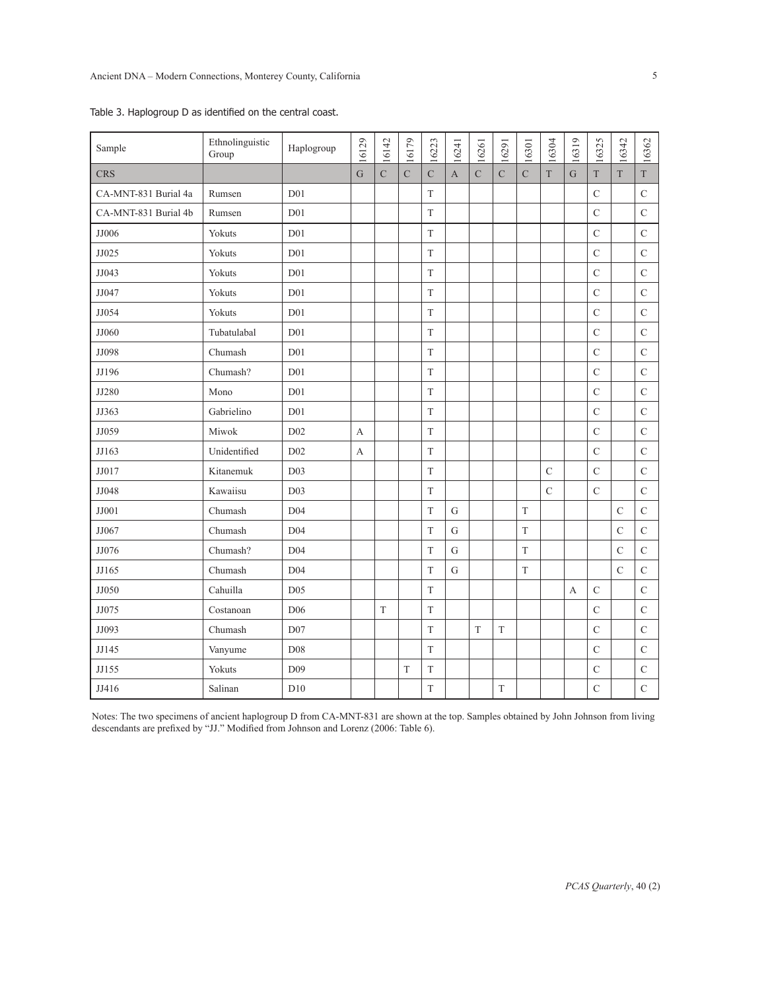| Sample               | Ethnolinguistic<br>Group | Haplogroup      | 16129          | 16142          | 16179       | 16223         | 16241       | 16261          | 16291          | 16301          | 16304       | 16319          | 16325          | 16342         | 16362          |
|----------------------|--------------------------|-----------------|----------------|----------------|-------------|---------------|-------------|----------------|----------------|----------------|-------------|----------------|----------------|---------------|----------------|
| <b>CRS</b>           |                          |                 | $\overline{G}$ | $\overline{C}$ | $\mathbf C$ | $\mathbf C$   | $\mathbf A$ | $\overline{C}$ | $\overline{C}$ | $\overline{C}$ | $\bar{T}$   | $\overline{G}$ | $\bar{T}$      | $\bar{T}$     | $\bar{\rm T}$  |
| CA-MNT-831 Burial 4a | Rumsen                   | D <sub>01</sub> |                |                |             | $\mathbf T$   |             |                |                |                |             |                | $\mathcal{C}$  |               | $\mathbf C$    |
| CA-MNT-831 Burial 4b | Rumsen                   | D <sub>01</sub> |                |                |             | $\mathcal T$  |             |                |                |                |             |                | $\overline{C}$ |               | $\overline{C}$ |
| JJ006                | Yokuts                   | D <sub>01</sub> |                |                |             | $\mathbf T$   |             |                |                |                |             |                | $\mathcal{C}$  |               | $\mathbf C$    |
| JJ025                | Yokuts                   | D <sub>01</sub> |                |                |             | $\mathcal T$  |             |                |                |                |             |                | $\overline{C}$ |               | $\mathsf{C}$   |
| JJ043                | Yokuts                   | D <sub>01</sub> |                |                |             | $\mathbf T$   |             |                |                |                |             |                | $\mathcal{C}$  |               | $\mathsf{C}$   |
| JJ047                | Yokuts                   | D <sub>01</sub> |                |                |             | $\mathcal T$  |             |                |                |                |             |                | $\mathcal{C}$  |               | $\mathsf{C}$   |
| JJ054                | Yokuts                   | D <sub>01</sub> |                |                |             | $\mathbf T$   |             |                |                |                |             |                | $\mathcal{C}$  |               | $\mathbf C$    |
| JJ060                | Tubatulabal              | D <sub>01</sub> |                |                |             | $\mathbf T$   |             |                |                |                |             |                | $\overline{C}$ |               | $\mathbf C$    |
| JJ098                | Chumash                  | D <sub>01</sub> |                |                |             | $\mathcal T$  |             |                |                |                |             |                | $\mathcal{C}$  |               | $\mathsf C$    |
| JJ196                | Chumash?                 | D <sub>01</sub> |                |                |             | $\mathbf T$   |             |                |                |                |             |                | $\mathbf C$    |               | $\mathbf C$    |
| JJ280                | Mono                     | D <sub>01</sub> |                |                |             | $\mathcal T$  |             |                |                |                |             |                | $\overline{C}$ |               | $\mathsf{C}$   |
| JJ363                | Gabrielino               | D <sub>01</sub> |                |                |             | $\mathbf T$   |             |                |                |                |             |                | $\mathbf C$    |               | $\mathbf C$    |
| JJ059                | Miwok                    | D02             | A              |                |             | $\mathbf T$   |             |                |                |                |             |                | $\overline{C}$ |               | $\mathsf{C}$   |
| JJ163                | Unidentified             | D <sub>02</sub> | $\mathbf{A}$   |                |             | $\mathcal T$  |             |                |                |                |             |                | $\mathcal{C}$  |               | $\mathsf{C}$   |
| JJ017                | Kitanemuk                | D <sub>03</sub> |                |                |             | $\mathcal T$  |             |                |                |                | $\mathbf C$ |                | $\overline{C}$ |               | $\overline{C}$ |
| JJ048                | Kawaiisu                 | D03             |                |                |             | $\mathcal T$  |             |                |                |                | $\cal C$    |                | $\overline{C}$ |               | $\mathsf{C}$   |
| JJ001                | Chumash                  | D04             |                |                |             | $\rm T$       | ${\rm G}$   |                |                | $\mathbf T$    |             |                |                | $\mathcal{C}$ | $\mathbf C$    |
| JJ067                | Chumash                  | D04             |                |                |             | T             | ${\rm G}$   |                |                | T              |             |                |                | $\mathcal{C}$ | $\mathbf C$    |
| JJ076                | Chumash?                 | D <sub>04</sub> |                |                |             | $\rm T$       | ${\rm G}$   |                |                | $\bar{\rm T}$  |             |                |                | $\mathbf C$   | $\mathbf C$    |
| JJ165                | Chumash                  | D04             |                |                |             | T             | $\mathbf G$ |                |                | $\mathcal T$   |             |                |                | $\mathcal{C}$ | $\mathbf C$    |
| JJ050                | Cahuilla                 | D <sub>05</sub> |                |                |             | T             |             |                |                |                |             | A              | $\mathcal{C}$  |               | $\mathsf{C}$   |
| JJ075                | Costanoan                | D <sub>06</sub> |                | $\mathbf T$    |             | $\mathbf T$   |             |                |                |                |             |                | $\mathcal{C}$  |               | $\mathbf C$    |
| JJ093                | Chumash                  | D07             |                |                |             | T             |             | T              | $\mathbf T$    |                |             |                | $\mathcal{C}$  |               | $\mathsf C$    |
| JJ145                | Vanyume                  | D08             |                |                |             | $\mathbf T$   |             |                |                |                |             |                | $\mathbf C$    |               | $\mathsf{C}$   |
| JJ155                | Yokuts                   | D <sub>09</sub> |                |                | $\mathbf T$ | $\rm T$       |             |                |                |                |             |                | $\mathcal{C}$  |               | $\mathbf C$    |
| JJ416                | Salinan                  | D10             |                |                |             | $\bar{\rm T}$ |             |                | $\mathbf T$    |                |             |                | $\overline{C}$ |               | $\overline{C}$ |

Table 3. Haplogroup D as identified on the central coast.

Notes: The two specimens of ancient haplogroup D from CA-MNT-831 are shown at the top. Samples obtained by John Johnson from living descendants are prefixed by "JJ." Modified from Johnson and Lorenz (2006: Table 6).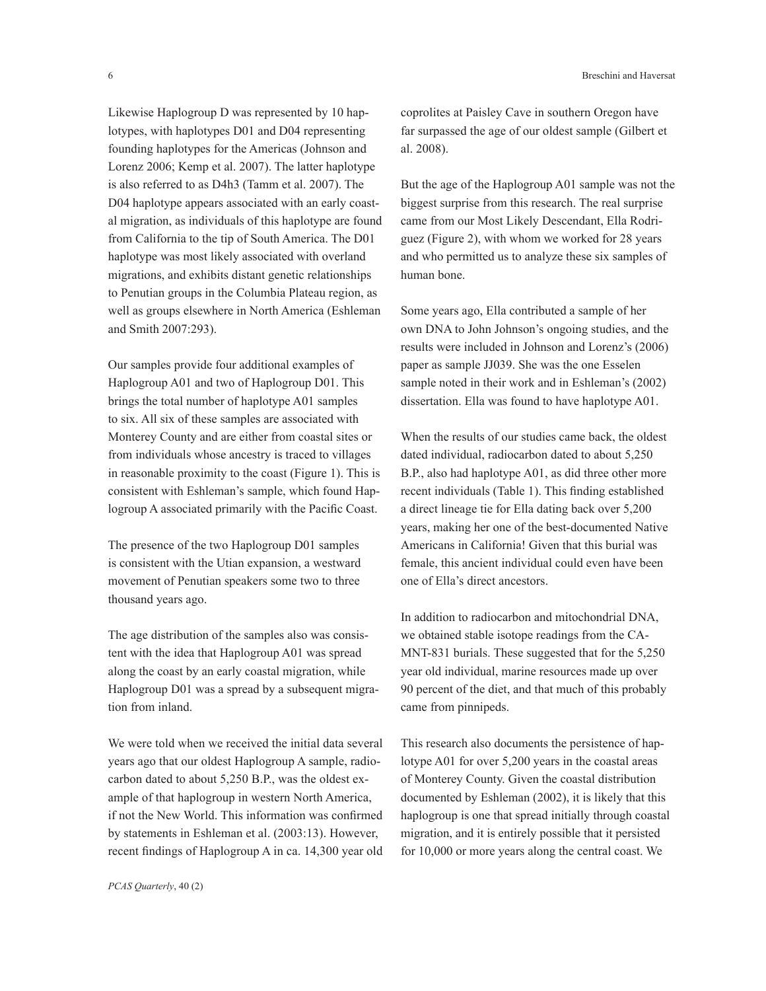Likewise Haplogroup D was represented by 10 haplotypes, with haplotypes D01 and D04 representing founding haplotypes for the Americas (Johnson and Lorenz 2006; Kemp et al. 2007). The latter haplotype is also referred to as D4h3 (Tamm et al. 2007). The D04 haplotype appears associated with an early coastal migration, as individuals of this haplotype are found from California to the tip of South America. The D01 haplotype was most likely associated with overland migrations, and exhibits distant genetic relationships to Penutian groups in the Columbia Plateau region, as well as groups elsewhere in North America (Eshleman and Smith 2007:293).

Our samples provide four additional examples of Haplogroup A01 and two of Haplogroup D01. This brings the total number of haplotype A01 samples to six. All six of these samples are associated with Monterey County and are either from coastal sites or from individuals whose ancestry is traced to villages in reasonable proximity to the coast (Figure 1). This is consistent with Eshleman's sample, which found Haplogroup A associated primarily with the Pacific Coast.

The presence of the two Haplogroup D01 samples is consistent with the Utian expansion, a westward movement of Penutian speakers some two to three thousand years ago.

The age distribution of the samples also was consistent with the idea that Haplogroup A01 was spread along the coast by an early coastal migration, while Haplogroup D01 was a spread by a subsequent migration from inland.

We were told when we received the initial data several years ago that our oldest Haplogroup A sample, radiocarbon dated to about 5,250 B.P., was the oldest example of that haplogroup in western North America, if not the New World. This information was confirmed by statements in Eshleman et al. (2003:13). However, recent findings of Haplogroup A in ca. 14,300 year old coprolites at Paisley Cave in southern Oregon have far surpassed the age of our oldest sample (Gilbert et al. 2008).

But the age of the Haplogroup A01 sample was not the biggest surprise from this research. The real surprise came from our Most Likely Descendant, Ella Rodriguez (Figure 2), with whom we worked for 28 years and who permitted us to analyze these six samples of human bone.

Some years ago, Ella contributed a sample of her own DNA to John Johnson's ongoing studies, and the results were included in Johnson and Lorenz's (2006) paper as sample JJ039. She was the one Esselen sample noted in their work and in Eshleman's (2002) dissertation. Ella was found to have haplotype A01.

When the results of our studies came back, the oldest dated individual, radiocarbon dated to about 5,250 B.P., also had haplotype A01, as did three other more recent individuals (Table 1). This finding established a direct lineage tie for Ella dating back over 5,200 years, making her one of the best-documented Native Americans in California! Given that this burial was female, this ancient individual could even have been one of Ella's direct ancestors.

In addition to radiocarbon and mitochondrial DNA, we obtained stable isotope readings from the CA-MNT-831 burials. These suggested that for the 5,250 year old individual, marine resources made up over 90 percent of the diet, and that much of this probably came from pinnipeds.

This research also documents the persistence of haplotype A01 for over 5,200 years in the coastal areas of Monterey County. Given the coastal distribution documented by Eshleman (2002), it is likely that this haplogroup is one that spread initially through coastal migration, and it is entirely possible that it persisted for 10,000 or more years along the central coast. We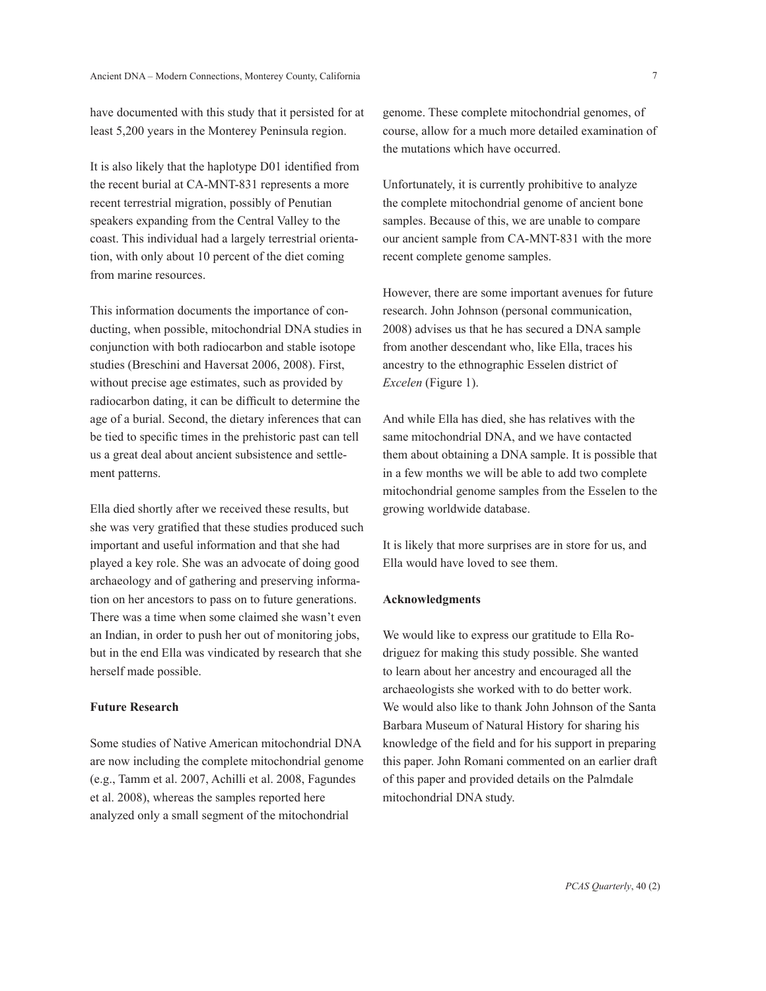have documented with this study that it persisted for at least 5,200 years in the Monterey Peninsula region.

It is also likely that the haplotype D01 identified from the recent burial at CA-MNT-831 represents a more recent terrestrial migration, possibly of Penutian speakers expanding from the Central Valley to the coast. This individual had a largely terrestrial orientation, with only about 10 percent of the diet coming from marine resources.

This information documents the importance of conducting, when possible, mitochondrial DNA studies in conjunction with both radiocarbon and stable isotope studies (Breschini and Haversat 2006, 2008). First, without precise age estimates, such as provided by radiocarbon dating, it can be difficult to determine the age of a burial. Second, the dietary inferences that can be tied to specific times in the prehistoric past can tell us a great deal about ancient subsistence and settlement patterns.

Ella died shortly after we received these results, but she was very gratified that these studies produced such important and useful information and that she had played a key role. She was an advocate of doing good archaeology and of gathering and preserving information on her ancestors to pass on to future generations. There was a time when some claimed she wasn't even an Indian, in order to push her out of monitoring jobs, but in the end Ella was vindicated by research that she herself made possible.

## **Future Research**

Some studies of Native American mitochondrial DNA are now including the complete mitochondrial genome (e.g., Tamm et al. 2007, Achilli et al. 2008, Fagundes et al. 2008), whereas the samples reported here analyzed only a small segment of the mitochondrial

genome. These complete mitochondrial genomes, of course, allow for a much more detailed examination of the mutations which have occurred.

Unfortunately, it is currently prohibitive to analyze the complete mitochondrial genome of ancient bone samples. Because of this, we are unable to compare our ancient sample from CA-MNT-831 with the more recent complete genome samples.

However, there are some important avenues for future research. John Johnson (personal communication, 2008) advises us that he has secured a DNA sample from another descendant who, like Ella, traces his ancestry to the ethnographic Esselen district of *Excelen* (Figure 1).

And while Ella has died, she has relatives with the same mitochondrial DNA, and we have contacted them about obtaining a DNA sample. It is possible that in a few months we will be able to add two complete mitochondrial genome samples from the Esselen to the growing worldwide database.

It is likely that more surprises are in store for us, and Ella would have loved to see them.

## **Acknowledgments**

We would like to express our gratitude to Ella Rodriguez for making this study possible. She wanted to learn about her ancestry and encouraged all the archaeologists she worked with to do better work. We would also like to thank John Johnson of the Santa Barbara Museum of Natural History for sharing his knowledge of the field and for his support in preparing this paper. John Romani commented on an earlier draft of this paper and provided details on the Palmdale mitochondrial DNA study.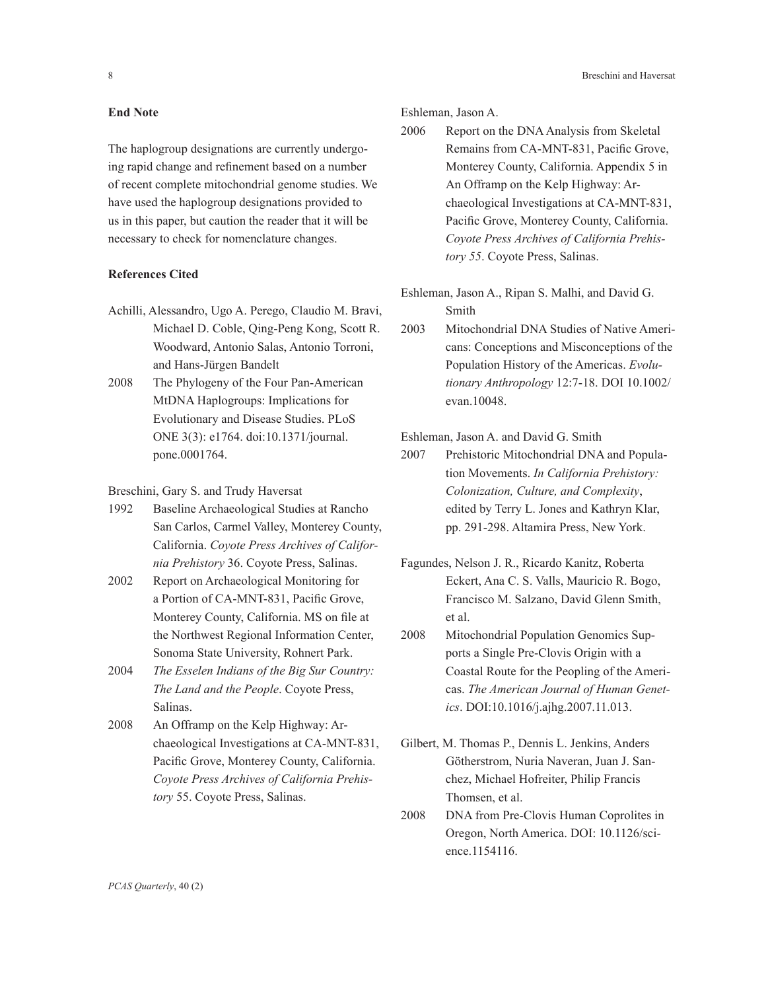8 Breschini and Haversat

#### **End Note**

The haplogroup designations are currently undergoing rapid change and refinement based on a number of recent complete mitochondrial genome studies. We have used the haplogroup designations provided to us in this paper, but caution the reader that it will be necessary to check for nomenclature changes.

# **References Cited**

- Achilli, Alessandro, Ugo A. Perego, Claudio M. Bravi, Michael D. Coble, Qing-Peng Kong, Scott R. Woodward, Antonio Salas, Antonio Torroni, and Hans-Jürgen Bandelt
- 2008 The Phylogeny of the Four Pan-American MtDNA Haplogroups: Implications for Evolutionary and Disease Studies. PLoS ONE 3(3): e1764. doi:10.1371/journal. pone.0001764.
- Breschini, Gary S. and Trudy Haversat
- 1992 Baseline Archaeological Studies at Rancho San Carlos, Carmel Valley, Monterey County, California. *Coyote Press Archives of California Prehistory* 36. Coyote Press, Salinas.
- 2002 Report on Archaeological Monitoring for a Portion of CA-MNT-831, Pacific Grove, Monterey County, California. MS on file at the Northwest Regional Information Center, Sonoma State University, Rohnert Park.
- 2004 *The Esselen Indians of the Big Sur Country: The Land and the People*. Coyote Press, Salinas.
- 2008 An Offramp on the Kelp Highway: Archaeological Investigations at CA-MNT-831, Pacific Grove, Monterey County, California. *Coyote Press Archives of California Prehistory* 55. Coyote Press, Salinas.

Eshleman, Jason A.

- 2006 Report on the DNA Analysis from Skeletal Remains from CA-MNT-831, Pacific Grove, Monterey County, California. Appendix 5 in An Offramp on the Kelp Highway: Archaeological Investigations at CA-MNT-831, Pacific Grove, Monterey County, California. *Coyote Press Archives of California Prehistory 55*. Coyote Press, Salinas.
- Eshleman, Jason A., Ripan S. Malhi, and David G. Smith
- 2003 Mitochondrial DNA Studies of Native Americans: Conceptions and Misconceptions of the Population History of the Americas. *Evolutionary Anthropology* 12:7-18. DOI 10.1002/ evan.10048.

## Eshleman, Jason A. and David G. Smith

- 2007 Prehistoric Mitochondrial DNA and Population Movements. *In California Prehistory: Colonization, Culture, and Complexity*, edited by Terry L. Jones and Kathryn Klar, pp. 291-298. Altamira Press, New York.
- Fagundes, Nelson J. R., Ricardo Kanitz, Roberta Eckert, Ana C. S. Valls, Mauricio R. Bogo, Francisco M. Salzano, David Glenn Smith, et al.
- 2008 Mitochondrial Population Genomics Supports a Single Pre-Clovis Origin with a Coastal Route for the Peopling of the Americas. *The American Journal of Human Genetics*. DOI:10.1016/j.ajhg.2007.11.013.
- Gilbert, M. Thomas P., Dennis L. Jenkins, Anders Götherstrom, Nuria Naveran, Juan J. Sanchez, Michael Hofreiter, Philip Francis Thomsen, et al.
- 2008 DNA from Pre-Clovis Human Coprolites in Oregon, North America. DOI: 10.1126/science.1154116.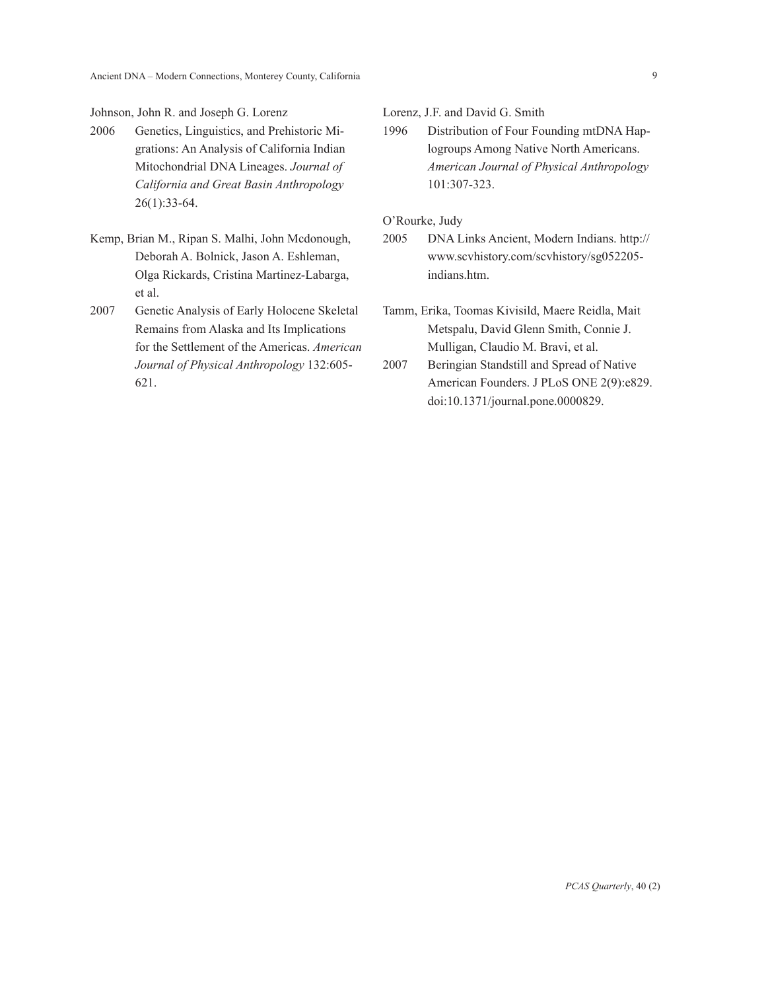Johnson, John R. and Joseph G. Lorenz

- 2006 Genetics, Linguistics, and Prehistoric Migrations: An Analysis of California Indian Mitochondrial DNA Lineages. *Journal of California and Great Basin Anthropology* 26(1):33-64.
- Kemp, Brian M., Ripan S. Malhi, John Mcdonough, Deborah A. Bolnick, Jason A. Eshleman, Olga Rickards, Cristina Martinez-Labarga, et al.
- 2007 Genetic Analysis of Early Holocene Skeletal Remains from Alaska and Its Implications for the Settlement of the Americas. *American Journal of Physical Anthropology* 132:605- 621.

Lorenz, J.F. and David G. Smith

1996 Distribution of Four Founding mtDNA Haplogroups Among Native North Americans. *American Journal of Physical Anthropology* 101:307-323.

O'Rourke, Judy

- 2005 DNA Links Ancient, Modern Indians. http:// www.scvhistory.com/scvhistory/sg052205 indians.htm.
- Tamm, Erika, Toomas Kivisild, Maere Reidla, Mait Metspalu, David Glenn Smith, Connie J. Mulligan, Claudio M. Bravi, et al.
- 2007 Beringian Standstill and Spread of Native American Founders. J PLoS ONE 2(9):e829. doi:10.1371/journal.pone.0000829.